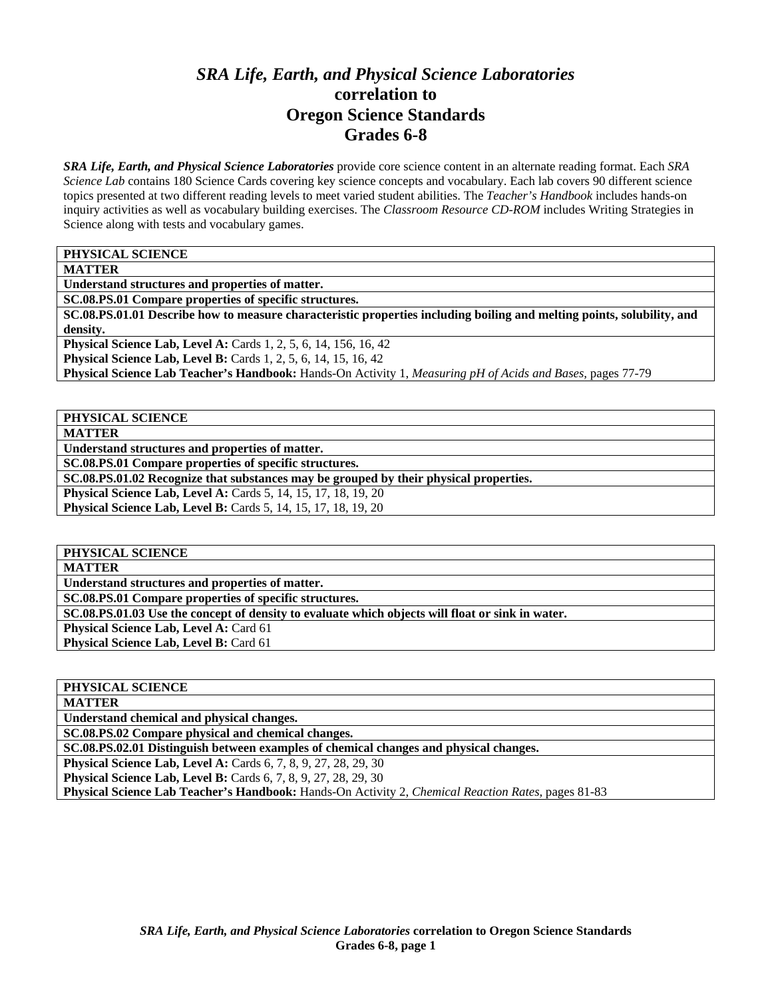# *SRA Life, Earth, and Physical Science Laboratories*  **correlation to Oregon Science Standards Grades 6-8**

*SRA Life, Earth, and Physical Science Laboratories* provide core science content in an alternate reading format. Each *SRA Science Lab* contains 180 Science Cards covering key science concepts and vocabulary. Each lab covers 90 different science topics presented at two different reading levels to meet varied student abilities. The *Teacher's Handbook* includes hands-on inquiry activities as well as vocabulary building exercises. The *Classroom Resource CD-ROM* includes Writing Strategies in Science along with tests and vocabulary games.

**PHYSICAL SCIENCE** 

**MATTER** 

**Understand structures and properties of matter.** 

**SC.08.PS.01 Compare properties of specific structures.** 

**SC.08.PS.01.01 Describe how to measure characteristic properties including boiling and melting points, solubility, and density.** 

**Physical Science Lab, Level A:** Cards 1, 2, 5, 6, 14, 156, 16, 42 **Physical Science Lab, Level B:** Cards 1, 2, 5, 6, 14, 15, 16, 42

**Physical Science Lab Teacher's Handbook:** Hands-On Activity 1, *Measuring pH of Acids and Bases,* pages 77-79

**PHYSICAL SCIENCE MATTER** 

**Understand structures and properties of matter.** 

**SC.08.PS.01 Compare properties of specific structures.** 

**SC.08.PS.01.02 Recognize that substances may be grouped by their physical properties.** 

**Physical Science Lab, Level A:** Cards 5, 14, 15, 17, 18, 19, 20 **Physical Science Lab, Level B:** Cards 5, 14, 15, 17, 18, 19, 20

**PHYSICAL SCIENCE** 

**MATTER** 

**Understand structures and properties of matter.** 

**SC.08.PS.01 Compare properties of specific structures.** 

**SC.08.PS.01.03 Use the concept of density to evaluate which objects will float or sink in water.** 

**Physical Science Lab, Level A: Card 61** 

**Physical Science Lab, Level B: Card 61** 

| PHYSICAL SCIENCE                                                                                   |
|----------------------------------------------------------------------------------------------------|
| <b>MATTER</b>                                                                                      |
| Understand chemical and physical changes.                                                          |
| SC.08.PS.02 Compare physical and chemical changes.                                                 |
| SC.08.PS.02.01 Distinguish between examples of chemical changes and physical changes.              |
| <b>Physical Science Lab, Level A:</b> Cards 6, 7, 8, 9, 27, 28, 29, 30                             |
| <b>Physical Science Lab, Level B:</b> Cards 6, 7, 8, 9, 27, 28, 29, 30                             |
| Physical Science Lab Teacher's Handbook: Hands-On Activity 2, Chemical Reaction Rates, pages 81-83 |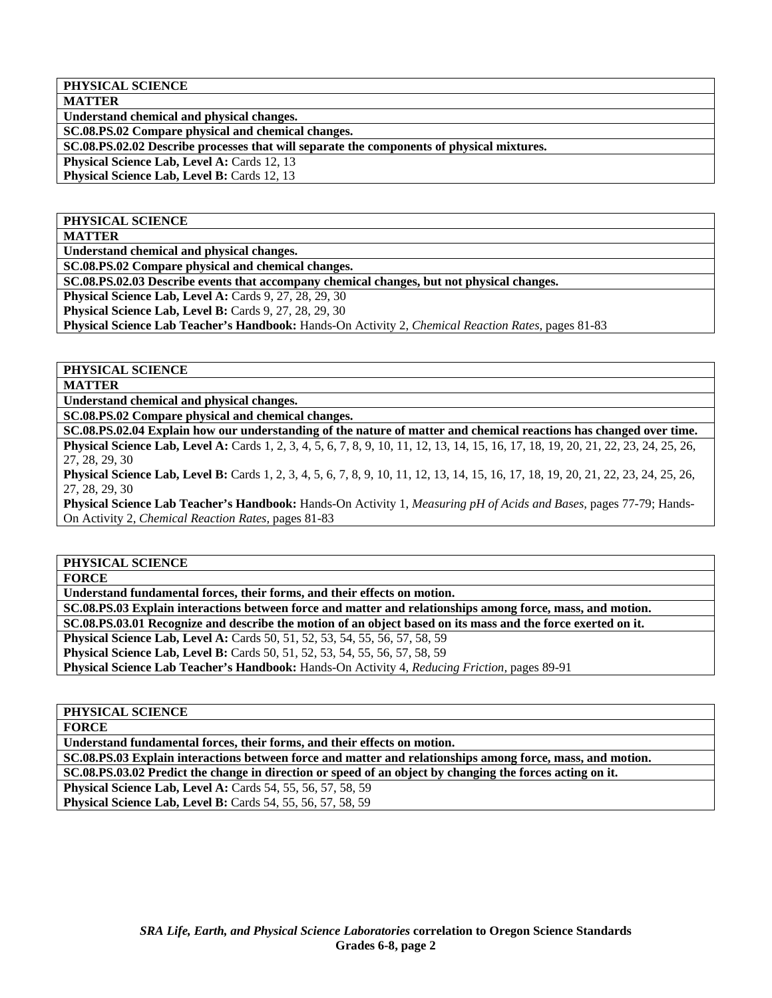**PHYSICAL SCIENCE** 

**MATTER Understand chemical and physical changes.** 

**SC.08.PS.02 Compare physical and chemical changes.** 

**SC.08.PS.02.02 Describe processes that will separate the components of physical mixtures.** 

**Physical Science Lab, Level A: Cards 12, 13** 

**Physical Science Lab, Level B: Cards 12, 13** 

#### **PHYSICAL SCIENCE**

**MATTER** 

**Understand chemical and physical changes.** 

**SC.08.PS.02 Compare physical and chemical changes.** 

**SC.08.PS.02.03 Describe events that accompany chemical changes, but not physical changes.** 

**Physical Science Lab, Level A: Cards 9, 27, 28, 29, 30** 

**Physical Science Lab, Level B: Cards 9, 27, 28, 29, 30** 

**Physical Science Lab Teacher's Handbook:** Hands-On Activity 2, *Chemical Reaction Rates,* pages 81-83

#### **PHYSICAL SCIENCE**

**MATTER** 

**Understand chemical and physical changes.** 

**SC.08.PS.02 Compare physical and chemical changes.** 

**SC.08.PS.02.04 Explain how our understanding of the nature of matter and chemical reactions has changed over time. Physical Science Lab, Level A:** Cards 1, 2, 3, 4, 5, 6, 7, 8, 9, 10, 11, 12, 13, 14, 15, 16, 17, 18, 19, 20, 21, 22, 23, 24, 25, 26, 27, 28, 29, 30

**Physical Science Lab, Level B:** Cards 1, 2, 3, 4, 5, 6, 7, 8, 9, 10, 11, 12, 13, 14, 15, 16, 17, 18, 19, 20, 21, 22, 23, 24, 25, 26, 27, 28, 29, 30

**Physical Science Lab Teacher's Handbook:** Hands-On Activity 1, *Measuring pH of Acids and Bases,* pages 77-79; Hands-On Activity 2, *Chemical Reaction Rates,* pages 81-83

#### **PHYSICAL SCIENCE**

**FORCE** 

**Understand fundamental forces, their forms, and their effects on motion.** 

**SC.08.PS.03 Explain interactions between force and matter and relationships among force, mass, and motion.** 

**SC.08.PS.03.01 Recognize and describe the motion of an object based on its mass and the force exerted on it.** 

**Physical Science Lab, Level A: Cards 50, 51, 52, 53, 54, 55, 56, 57, 58, 59** 

**Physical Science Lab, Level B:** Cards 50, 51, 52, 53, 54, 55, 56, 57, 58, 59

**Physical Science Lab Teacher's Handbook:** Hands-On Activity 4, *Reducing Friction,* pages 89-91

#### **PHYSICAL SCIENCE**

**FORCE** 

**Understand fundamental forces, their forms, and their effects on motion.** 

**SC.08.PS.03 Explain interactions between force and matter and relationships among force, mass, and motion. SC.08.PS.03.02 Predict the change in direction or speed of an object by changing the forces acting on it.** 

**Physical Science Lab, Level A:** Cards 54, 55, 56, 57, 58, 59

**Physical Science Lab, Level B:** Cards 54, 55, 56, 57, 58, 59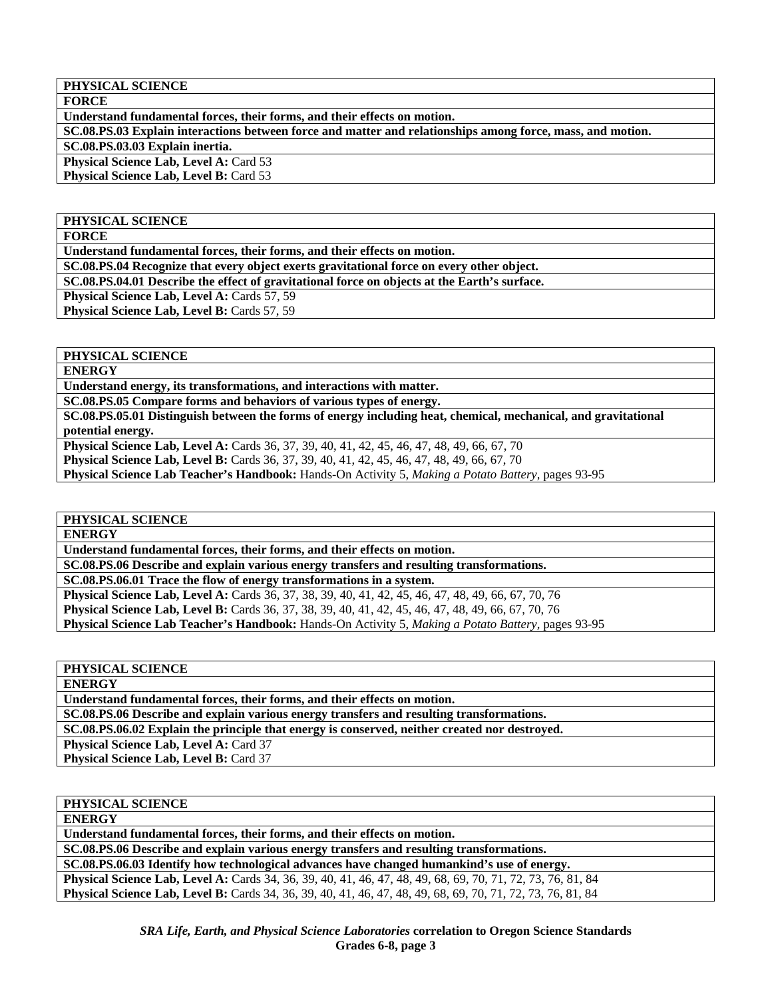#### **PHYSICAL SCIENCE**

**FORCE** 

**Understand fundamental forces, their forms, and their effects on motion.** 

**SC.08.PS.03 Explain interactions between force and matter and relationships among force, mass, and motion.** 

**SC.08.PS.03.03 Explain inertia.** 

**Physical Science Lab, Level A: Card 53** 

**Physical Science Lab, Level B: Card 53** 

#### **PHYSICAL SCIENCE**

**FORCE** 

**Understand fundamental forces, their forms, and their effects on motion.** 

**SC.08.PS.04 Recognize that every object exerts gravitational force on every other object.** 

**SC.08.PS.04.01 Describe the effect of gravitational force on objects at the Earth's surface.** 

**Physical Science Lab, Level A: Cards 57, 59** 

Physical Science Lab, Level B: Cards 57, 59

#### **PHYSICAL SCIENCE**

**ENERGY** 

**Understand energy, its transformations, and interactions with matter.** 

**SC.08.PS.05 Compare forms and behaviors of various types of energy.** 

**SC.08.PS.05.01 Distinguish between the forms of energy including heat, chemical, mechanical, and gravitational potential energy.** 

**Physical Science Lab, Level A:** Cards 36, 37, 39, 40, 41, 42, 45, 46, 47, 48, 49, 66, 67, 70

**Physical Science Lab, Level B:** Cards 36, 37, 39, 40, 41, 42, 45, 46, 47, 48, 49, 66, 67, 70

**Physical Science Lab Teacher's Handbook:** Hands-On Activity 5, *Making a Potato Battery,* pages 93-95

## **PHYSICAL SCIENCE**

**ENERGY** 

**Understand fundamental forces, their forms, and their effects on motion.** 

**SC.08.PS.06 Describe and explain various energy transfers and resulting transformations.** 

**SC.08.PS.06.01 Trace the flow of energy transformations in a system.** 

**Physical Science Lab, Level A:** Cards 36, 37, 38, 39, 40, 41, 42, 45, 46, 47, 48, 49, 66, 67, 70, 76

**Physical Science Lab, Level B:** Cards 36, 37, 38, 39, 40, 41, 42, 45, 46, 47, 48, 49, 66, 67, 70, 76

**Physical Science Lab Teacher's Handbook:** Hands-On Activity 5, *Making a Potato Battery,* pages 93-95

**PHYSICAL SCIENCE** 

**ENERGY** 

**Understand fundamental forces, their forms, and their effects on motion.** 

**SC.08.PS.06 Describe and explain various energy transfers and resulting transformations.** 

**SC.08.PS.06.02 Explain the principle that energy is conserved, neither created nor destroyed.** 

**Physical Science Lab, Level A: Card 37** 

**Physical Science Lab, Level B: Card 37** 

#### **PHYSICAL SCIENCE**

**ENERGY** 

**Understand fundamental forces, their forms, and their effects on motion.** 

**SC.08.PS.06 Describe and explain various energy transfers and resulting transformations.** 

**SC.08.PS.06.03 Identify how technological advances have changed humankind's use of energy.** 

**Physical Science Lab, Level A:** Cards 34, 36, 39, 40, 41, 46, 47, 48, 49, 68, 69, 70, 71, 72, 73, 76, 81, 84 **Physical Science Lab, Level B:** Cards 34, 36, 39, 40, 41, 46, 47, 48, 49, 68, 69, 70, 71, 72, 73, 76, 81, 84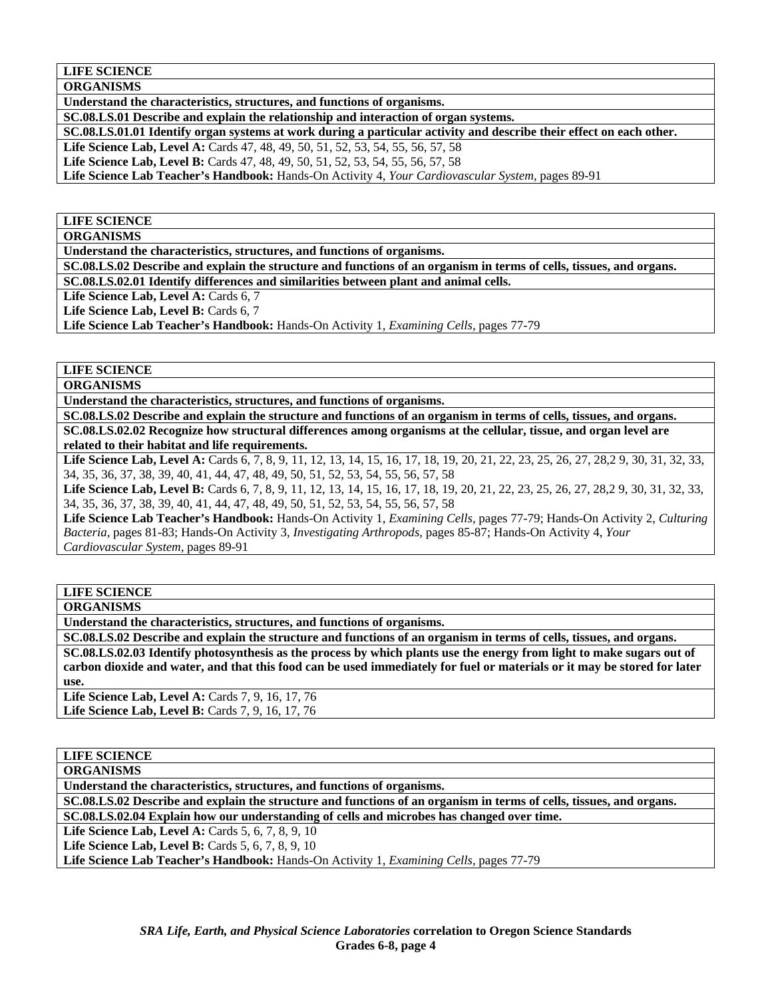#### **LIFE SCIENCE**

**ORGANISMS** 

**Understand the characteristics, structures, and functions of organisms.** 

**SC.08.LS.01 Describe and explain the relationship and interaction of organ systems.** 

**SC.08.LS.01.01 Identify organ systems at work during a particular activity and describe their effect on each other.** 

**Life Science Lab, Level A:** Cards 47, 48, 49, 50, 51, 52, 53, 54, 55, 56, 57, 58

**Life Science Lab, Level B:** Cards 47, 48, 49, 50, 51, 52, 53, 54, 55, 56, 57, 58

**Life Science Lab Teacher's Handbook:** Hands-On Activity 4, *Your Cardiovascular System,* pages 89-91

## **LIFE SCIENCE**

**ORGANISMS** 

**Understand the characteristics, structures, and functions of organisms.** 

**SC.08.LS.02 Describe and explain the structure and functions of an organism in terms of cells, tissues, and organs. SC.08.LS.02.01 Identify differences and similarities between plant and animal cells.** 

Life Science Lab, Level A: Cards 6, 7

Life Science Lab, Level B: Cards 6, 7

**Life Science Lab Teacher's Handbook:** Hands-On Activity 1, *Examining Cells,* pages 77-79

#### **LIFE SCIENCE**

**ORGANISMS** 

**Understand the characteristics, structures, and functions of organisms.** 

**SC.08.LS.02 Describe and explain the structure and functions of an organism in terms of cells, tissues, and organs. SC.08.LS.02.02 Recognize how structural differences among organisms at the cellular, tissue, and organ level are related to their habitat and life requirements.** 

Life Science Lab, Level A: Cards 6, 7, 8, 9, 11, 12, 13, 14, 15, 16, 17, 18, 19, 20, 21, 22, 23, 25, 26, 27, 28, 29, 30, 31, 32, 33, 34, 35, 36, 37, 38, 39, 40, 41, 44, 47, 48, 49, 50, 51, 52, 53, 54, 55, 56, 57, 58

Life Science Lab, Level B: Cards 6, 7, 8, 9, 11, 12, 13, 14, 15, 16, 17, 18, 19, 20, 21, 22, 23, 25, 26, 27, 28, 29, 30, 31, 32, 33, 34, 35, 36, 37, 38, 39, 40, 41, 44, 47, 48, 49, 50, 51, 52, 53, 54, 55, 56, 57, 58

**Life Science Lab Teacher's Handbook:** Hands-On Activity 1, *Examining Cells,* pages 77-79; Hands-On Activity 2, *Culturing Bacteria,* pages 81-83; Hands-On Activity 3, *Investigating Arthropods,* pages 85-87; Hands-On Activity 4, *Your Cardiovascular System,* pages 89-91

## **LIFE SCIENCE**

**ORGANISMS** 

**Understand the characteristics, structures, and functions of organisms.** 

**SC.08.LS.02 Describe and explain the structure and functions of an organism in terms of cells, tissues, and organs. SC.08.LS.02.03 Identify photosynthesis as the process by which plants use the energy from light to make sugars out of carbon dioxide and water, and that this food can be used immediately for fuel or materials or it may be stored for later use.** 

**Life Science Lab, Level A: Cards 7, 9, 16, 17, 76 Life Science Lab, Level B:** Cards 7, 9, 16, 17, 76

# **LIFE SCIENCE**

**ORGANISMS** 

**Understand the characteristics, structures, and functions of organisms.** 

**SC.08.LS.02 Describe and explain the structure and functions of an organism in terms of cells, tissues, and organs. SC.08.LS.02.04 Explain how our understanding of cells and microbes has changed over time.** 

**Life Science Lab, Level A: Cards 5, 6, 7, 8, 9, 10** 

**Life Science Lab, Level B: Cards 5, 6, 7, 8, 9, 10** 

**Life Science Lab Teacher's Handbook:** Hands-On Activity 1, *Examining Cells,* pages 77-79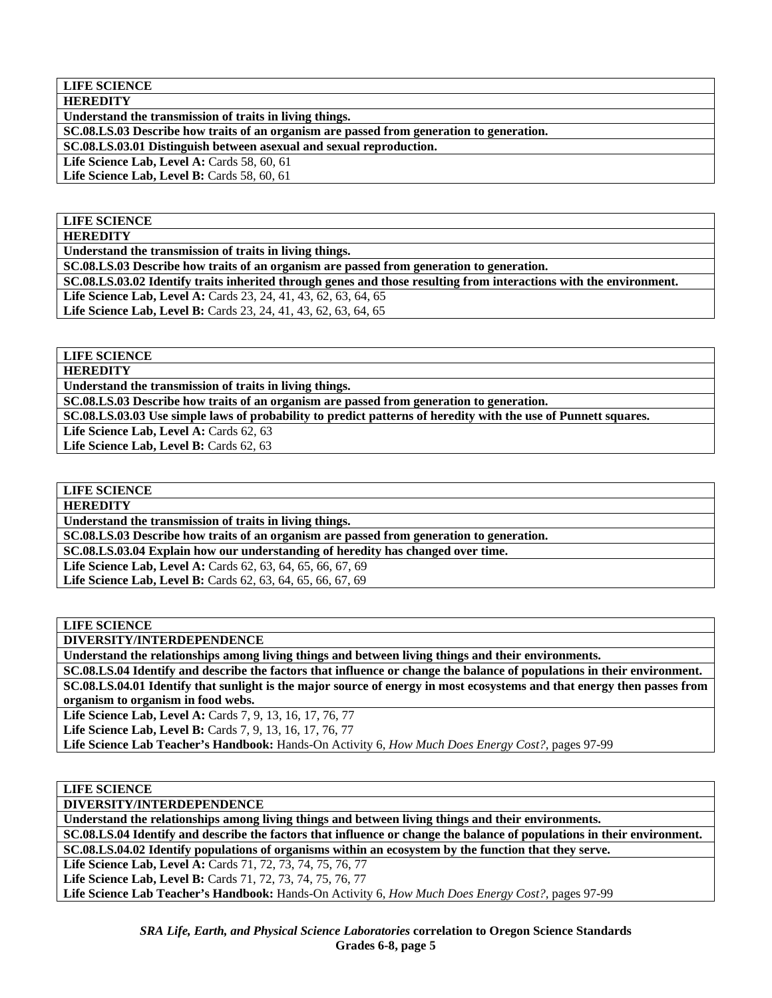**LIFE SCIENCE HEREDITY** 

**Understand the transmission of traits in living things.** 

**SC.08.LS.03 Describe how traits of an organism are passed from generation to generation.** 

**SC.08.LS.03.01 Distinguish between asexual and sexual reproduction.** 

**Life Science Lab, Level A: Cards 58, 60, 61** 

**Life Science Lab, Level B: Cards 58, 60, 61** 

## **LIFE SCIENCE**

**HEREDITY** 

**Understand the transmission of traits in living things.** 

**SC.08.LS.03 Describe how traits of an organism are passed from generation to generation.** 

**SC.08.LS.03.02 Identify traits inherited through genes and those resulting from interactions with the environment.** 

**Life Science Lab, Level A:** Cards 23, 24, 41, 43, 62, 63, 64, 65

**Life Science Lab, Level B:** Cards 23, 24, 41, 43, 62, 63, 64, 65

**LIFE SCIENCE** 

**HEREDITY** 

**Understand the transmission of traits in living things.** 

**SC.08.LS.03 Describe how traits of an organism are passed from generation to generation.** 

**SC.08.LS.03.03 Use simple laws of probability to predict patterns of heredity with the use of Punnett squares.** 

Life Science Lab, Level A: Cards 62, 63 Life Science Lab, Level B: Cards 62, 63

**LIFE SCIENCE** 

**HEREDITY** 

**Understand the transmission of traits in living things.** 

**SC.08.LS.03 Describe how traits of an organism are passed from generation to generation.** 

**SC.08.LS.03.04 Explain how our understanding of heredity has changed over time.** 

Life Science Lab, Level A: Cards 62, 63, 64, 65, 66, 67, 69

Life Science Lab, Level B: Cards 62, 63, 64, 65, 66, 67, 69

**LIFE SCIENCE** 

**DIVERSITY/INTERDEPENDENCE** 

**Understand the relationships among living things and between living things and their environments.** 

**SC.08.LS.04 Identify and describe the factors that influence or change the balance of populations in their environment. SC.08.LS.04.01 Identify that sunlight is the major source of energy in most ecosystems and that energy then passes from organism to organism in food webs.** 

**Life Science Lab, Level A:** Cards 7, 9, 13, 16, 17, 76, 77

**Life Science Lab, Level B:** Cards 7, 9, 13, 16, 17, 76, 77

**Life Science Lab Teacher's Handbook:** Hands-On Activity 6, *How Much Does Energy Cost?,* pages 97-99

**LIFE SCIENCE** 

**DIVERSITY/INTERDEPENDENCE** 

**Understand the relationships among living things and between living things and their environments.** 

**SC.08.LS.04 Identify and describe the factors that influence or change the balance of populations in their environment. SC.08.LS.04.02 Identify populations of organisms within an ecosystem by the function that they serve.** 

**Life Science Lab, Level A:** Cards 71, 72, 73, 74, 75, 76, 77

**Life Science Lab, Level B:** Cards 71, 72, 73, 74, 75, 76, 77

**Life Science Lab Teacher's Handbook:** Hands-On Activity 6, *How Much Does Energy Cost?,* pages 97-99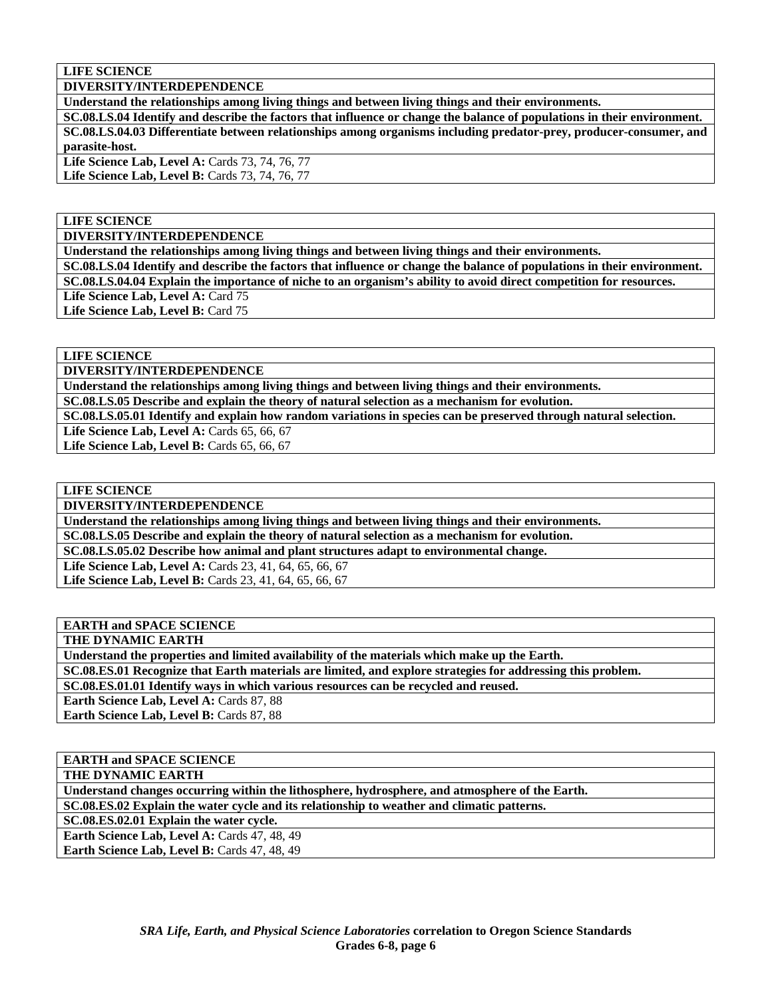**LIFE SCIENCE** 

**DIVERSITY/INTERDEPENDENCE** 

**Understand the relationships among living things and between living things and their environments.** 

**SC.08.LS.04 Identify and describe the factors that influence or change the balance of populations in their environment. SC.08.LS.04.03 Differentiate between relationships among organisms including predator-prey, producer-consumer, and parasite-host.** 

Life Science Lab, Level A: Cards 73, 74, 76, 77 **Life Science Lab, Level B: Cards 73, 74, 76, 77** 

**LIFE SCIENCE** 

**DIVERSITY/INTERDEPENDENCE** 

**Understand the relationships among living things and between living things and their environments.** 

**SC.08.LS.04 Identify and describe the factors that influence or change the balance of populations in their environment. SC.08.LS.04.04 Explain the importance of niche to an organism's ability to avoid direct competition for resources.**  Life Science Lab, Level A: Card 75

Life Science Lab, Level B: Card 75

**LIFE SCIENCE** 

**DIVERSITY/INTERDEPENDENCE** 

**Understand the relationships among living things and between living things and their environments. SC.08.LS.05 Describe and explain the theory of natural selection as a mechanism for evolution.** 

**SC.08.LS.05.01 Identify and explain how random variations in species can be preserved through natural selection.** 

Life Science Lab, Level A: Cards 65, 66, 67

Life Science Lab, Level B: Cards 65, 66, 67

**LIFE SCIENCE** 

**DIVERSITY/INTERDEPENDENCE** 

**Understand the relationships among living things and between living things and their environments.** 

**SC.08.LS.05 Describe and explain the theory of natural selection as a mechanism for evolution.** 

**SC.08.LS.05.02 Describe how animal and plant structures adapt to environmental change.** 

Life Science Lab, Level A: Cards 23, 41, 64, 65, 66, 67 Life Science Lab, Level B: Cards 23, 41, 64, 65, 66, 67

## **EARTH and SPACE SCIENCE**

**THE DYNAMIC EARTH** 

**Understand the properties and limited availability of the materials which make up the Earth.** 

**SC.08.ES.01 Recognize that Earth materials are limited, and explore strategies for addressing this problem.** 

**SC.08.ES.01.01 Identify ways in which various resources can be recycled and reused.** 

Earth Science Lab, Level A: Cards 87, 88 **Earth Science Lab, Level B: Cards 87, 88** 

**EARTH and SPACE SCIENCE** 

**THE DYNAMIC EARTH** 

**Understand changes occurring within the lithosphere, hydrosphere, and atmosphere of the Earth.** 

**SC.08.ES.02 Explain the water cycle and its relationship to weather and climatic patterns.** 

**SC.08.ES.02.01 Explain the water cycle.** 

**Earth Science Lab, Level A: Cards 47, 48, 49** Earth Science Lab, Level B: Cards 47, 48, 49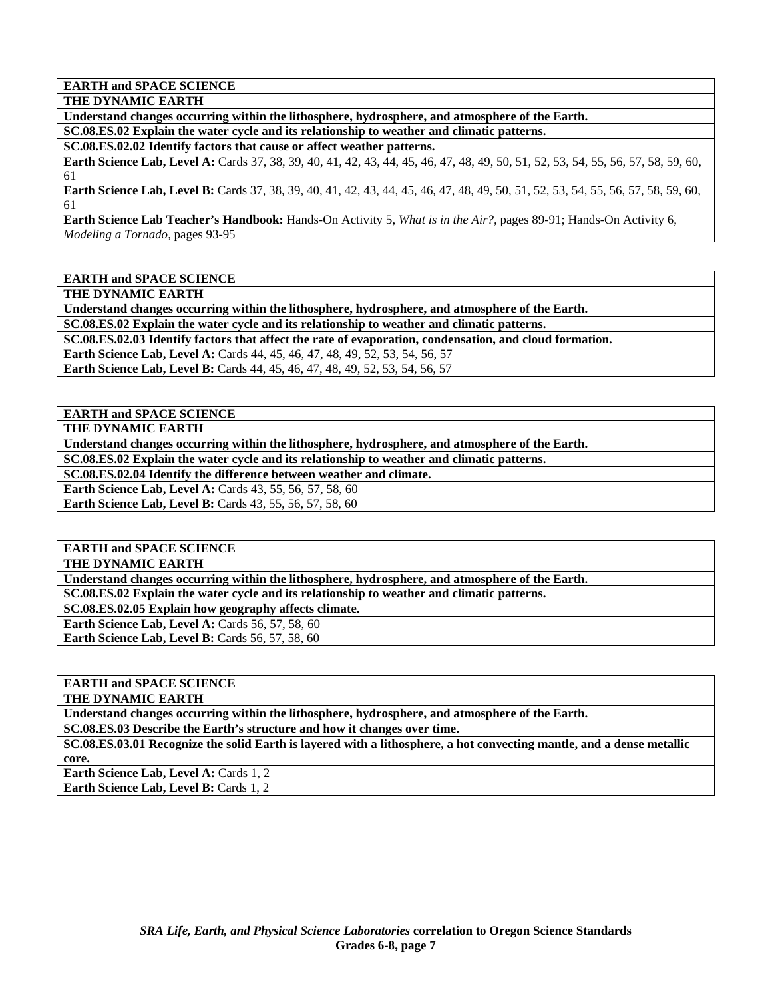**EARTH and SPACE SCIENCE** 

**THE DYNAMIC EARTH** 

**Understand changes occurring within the lithosphere, hydrosphere, and atmosphere of the Earth. SC.08.ES.02 Explain the water cycle and its relationship to weather and climatic patterns.** 

**SC.08.ES.02.02 Identify factors that cause or affect weather patterns.** 

**Earth Science Lab, Level A:** Cards 37, 38, 39, 40, 41, 42, 43, 44, 45, 46, 47, 48, 49, 50, 51, 52, 53, 54, 55, 56, 57, 58, 59, 60, 61

**Earth Science Lab, Level B:** Cards 37, 38, 39, 40, 41, 42, 43, 44, 45, 46, 47, 48, 49, 50, 51, 52, 53, 54, 55, 56, 57, 58, 59, 60, 61

**Earth Science Lab Teacher's Handbook:** Hands-On Activity 5, *What is in the Air?,* pages 89-91; Hands-On Activity 6, *Modeling a Tornado,* pages 93-95

**EARTH and SPACE SCIENCE** 

**THE DYNAMIC EARTH** 

**Understand changes occurring within the lithosphere, hydrosphere, and atmosphere of the Earth. SC.08.ES.02 Explain the water cycle and its relationship to weather and climatic patterns.** 

**SC.08.ES.02.03 Identify factors that affect the rate of evaporation, condensation, and cloud formation.** 

**Earth Science Lab, Level A: Cards 44, 45, 46, 47, 48, 49, 52, 53, 54, 56, 57** 

**Earth Science Lab, Level B:** Cards 44, 45, 46, 47, 48, 49, 52, 53, 54, 56, 57

**EARTH and SPACE SCIENCE** 

**THE DYNAMIC EARTH** 

**Understand changes occurring within the lithosphere, hydrosphere, and atmosphere of the Earth.** 

**SC.08.ES.02 Explain the water cycle and its relationship to weather and climatic patterns.** 

**SC.08.ES.02.04 Identify the difference between weather and climate.** 

**Earth Science Lab, Level A: Cards 43, 55, 56, 57, 58, 60** 

**Earth Science Lab, Level B:** Cards 43, 55, 56, 57, 58, 60

**EARTH and SPACE SCIENCE** 

**THE DYNAMIC EARTH** 

**Understand changes occurring within the lithosphere, hydrosphere, and atmosphere of the Earth.** 

**SC.08.ES.02 Explain the water cycle and its relationship to weather and climatic patterns.** 

**SC.08.ES.02.05 Explain how geography affects climate.** 

**Earth Science Lab, Level A: Cards 56, 57, 58, 60 Earth Science Lab, Level B: Cards 56, 57, 58, 60** 

**EARTH and SPACE SCIENCE** 

**THE DYNAMIC EARTH** 

**Understand changes occurring within the lithosphere, hydrosphere, and atmosphere of the Earth.** 

**SC.08.ES.03 Describe the Earth's structure and how it changes over time.** 

**SC.08.ES.03.01 Recognize the solid Earth is layered with a lithosphere, a hot convecting mantle, and a dense metallic core.** 

**Earth Science Lab, Level A: Cards 1, 2 Earth Science Lab, Level B: Cards 1, 2**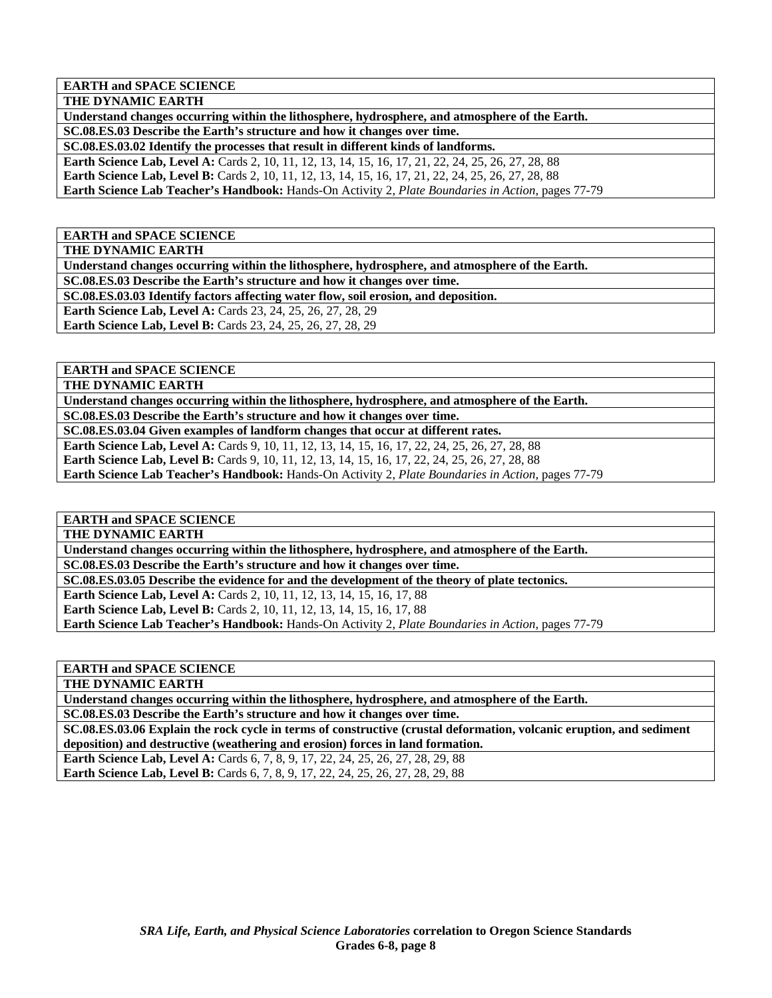**EARTH and SPACE SCIENCE** 

**THE DYNAMIC EARTH** 

**Understand changes occurring within the lithosphere, hydrosphere, and atmosphere of the Earth. SC.08.ES.03 Describe the Earth's structure and how it changes over time.** 

**SC.08.ES.03.02 Identify the processes that result in different kinds of landforms. Earth Science Lab, Level A:** Cards 2, 10, 11, 12, 13, 14, 15, 16, 17, 21, 22, 24, 25, 26, 27, 28, 88 **Earth Science Lab, Level B:** Cards 2, 10, 11, 12, 13, 14, 15, 16, 17, 21, 22, 24, 25, 26, 27, 28, 88

**Earth Science Lab Teacher's Handbook:** Hands-On Activity 2, *Plate Boundaries in Action,* pages 77-79

**EARTH and SPACE SCIENCE** 

**THE DYNAMIC EARTH** 

**Understand changes occurring within the lithosphere, hydrosphere, and atmosphere of the Earth.** 

**SC.08.ES.03 Describe the Earth's structure and how it changes over time.** 

**SC.08.ES.03.03 Identify factors affecting water flow, soil erosion, and deposition.** 

**Earth Science Lab, Level A:** Cards 23, 24, 25, 26, 27, 28, 29

**Earth Science Lab, Level B:** Cards 23, 24, 25, 26, 27, 28, 29

**EARTH and SPACE SCIENCE** 

**THE DYNAMIC EARTH** 

**Understand changes occurring within the lithosphere, hydrosphere, and atmosphere of the Earth.** 

**SC.08.ES.03 Describe the Earth's structure and how it changes over time.** 

**SC.08.ES.03.04 Given examples of landform changes that occur at different rates.** 

**Earth Science Lab, Level A:** Cards 9, 10, 11, 12, 13, 14, 15, 16, 17, 22, 24, 25, 26, 27, 28, 88

**Earth Science Lab, Level B:** Cards 9, 10, 11, 12, 13, 14, 15, 16, 17, 22, 24, 25, 26, 27, 28, 88

**Earth Science Lab Teacher's Handbook:** Hands-On Activity 2, *Plate Boundaries in Action,* pages 77-79

**EARTH and SPACE SCIENCE** 

**THE DYNAMIC EARTH** 

**Understand changes occurring within the lithosphere, hydrosphere, and atmosphere of the Earth.** 

**SC.08.ES.03 Describe the Earth's structure and how it changes over time.** 

**SC.08.ES.03.05 Describe the evidence for and the development of the theory of plate tectonics.** 

**Earth Science Lab, Level A: Cards 2, 10, 11, 12, 13, 14, 15, 16, 17, 88** 

**Earth Science Lab, Level B:** Cards 2, 10, 11, 12, 13, 14, 15, 16, 17, 88

**Earth Science Lab Teacher's Handbook:** Hands-On Activity 2, *Plate Boundaries in Action,* pages 77-79

**EARTH and SPACE SCIENCE** 

**THE DYNAMIC EARTH** 

**Understand changes occurring within the lithosphere, hydrosphere, and atmosphere of the Earth.** 

**SC.08.ES.03 Describe the Earth's structure and how it changes over time.** 

**SC.08.ES.03.06 Explain the rock cycle in terms of constructive (crustal deformation, volcanic eruption, and sediment deposition) and destructive (weathering and erosion) forces in land formation.** 

**Earth Science Lab, Level A:** Cards 6, 7, 8, 9, 17, 22, 24, 25, 26, 27, 28, 29, 88 **Earth Science Lab, Level B:** Cards 6, 7, 8, 9, 17, 22, 24, 25, 26, 27, 28, 29, 88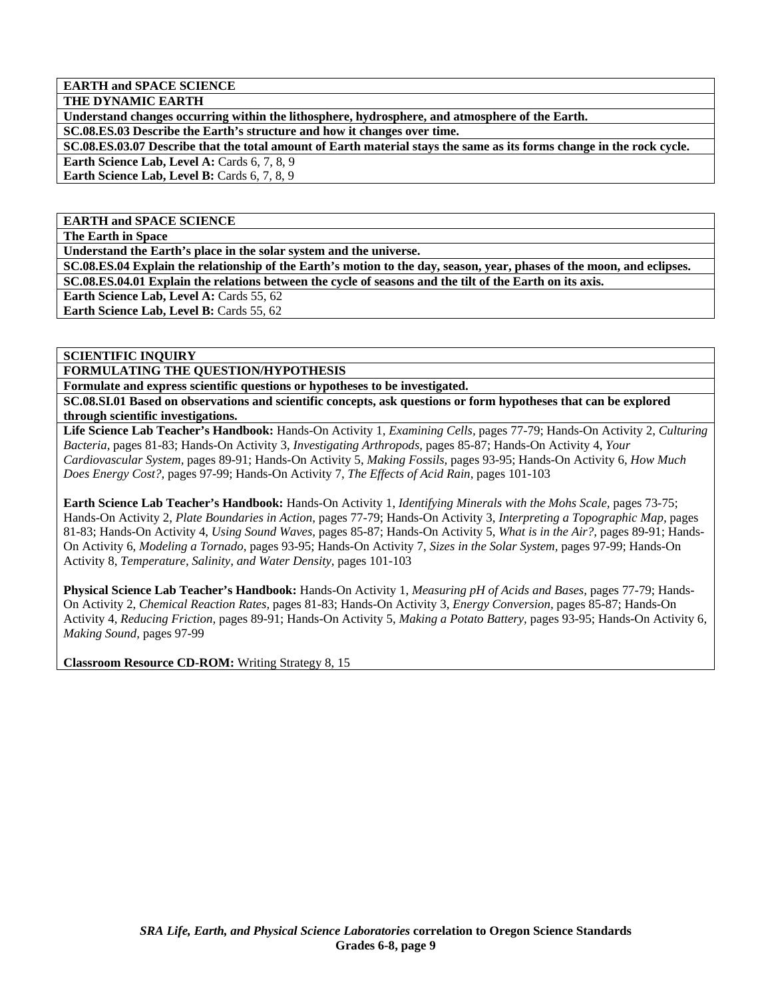**EARTH and SPACE SCIENCE** 

**THE DYNAMIC EARTH** 

**Understand changes occurring within the lithosphere, hydrosphere, and atmosphere of the Earth.** 

**SC.08.ES.03 Describe the Earth's structure and how it changes over time.** 

**SC.08.ES.03.07 Describe that the total amount of Earth material stays the same as its forms change in the rock cycle. Earth Science Lab, Level A: Cards 6, 7, 8, 9** 

Earth Science Lab, Level B: Cards 6, 7, 8, 9

## **EARTH and SPACE SCIENCE**

**The Earth in Space** 

**Understand the Earth's place in the solar system and the universe.** 

**SC.08.ES.04 Explain the relationship of the Earth's motion to the day, season, year, phases of the moon, and eclipses. SC.08.ES.04.01 Explain the relations between the cycle of seasons and the tilt of the Earth on its axis.** 

**Earth Science Lab, Level A: Cards 55, 62** 

**Earth Science Lab, Level B: Cards 55, 62** 

#### **SCIENTIFIC INQUIRY**

**FORMULATING THE QUESTION/HYPOTHESIS** 

**Formulate and express scientific questions or hypotheses to be investigated.** 

**SC.08.SI.01 Based on observations and scientific concepts, ask questions or form hypotheses that can be explored through scientific investigations.** 

**Life Science Lab Teacher's Handbook:** Hands-On Activity 1, *Examining Cells,* pages 77-79; Hands-On Activity 2, *Culturing Bacteria,* pages 81-83; Hands-On Activity 3, *Investigating Arthropods,* pages 85-87; Hands-On Activity 4, *Your Cardiovascular System,* pages 89-91; Hands-On Activity 5, *Making Fossils,* pages 93-95; Hands-On Activity 6, *How Much Does Energy Cost?,* pages 97-99; Hands-On Activity 7, *The Effects of Acid Rain,* pages 101-103

**Earth Science Lab Teacher's Handbook:** Hands-On Activity 1, *Identifying Minerals with the Mohs Scale,* pages 73-75; Hands-On Activity 2, *Plate Boundaries in Action,* pages 77-79; Hands-On Activity 3, *Interpreting a Topographic Map,* pages 81-83; Hands-On Activity 4, *Using Sound Waves,* pages 85-87; Hands-On Activity 5, *What is in the Air?,* pages 89-91; Hands-On Activity 6, *Modeling a Tornado,* pages 93-95; Hands-On Activity 7, *Sizes in the Solar System,* pages 97-99; Hands-On Activity 8, *Temperature, Salinity, and Water Density,* pages 101-103

**Physical Science Lab Teacher's Handbook:** Hands-On Activity 1, *Measuring pH of Acids and Bases,* pages 77-79; Hands-On Activity 2, *Chemical Reaction Rates,* pages 81-83; Hands-On Activity 3, *Energy Conversion,* pages 85-87; Hands-On Activity 4, *Reducing Friction,* pages 89-91; Hands-On Activity 5, *Making a Potato Battery,* pages 93-95; Hands-On Activity 6, *Making Sound,* pages 97-99

**Classroom Resource CD-ROM:** Writing Strategy 8, 15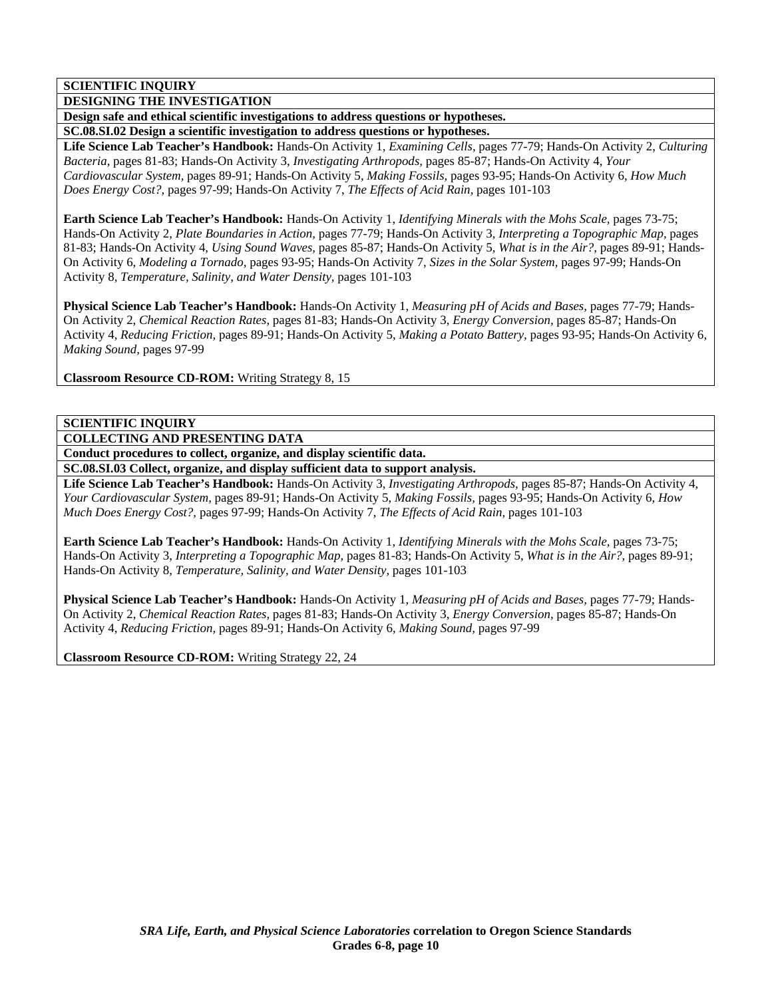## **SCIENTIFIC INQUIRY**

**DESIGNING THE INVESTIGATION** 

**Design safe and ethical scientific investigations to address questions or hypotheses.** 

**SC.08.SI.02 Design a scientific investigation to address questions or hypotheses.** 

**Life Science Lab Teacher's Handbook:** Hands-On Activity 1, *Examining Cells,* pages 77-79; Hands-On Activity 2, *Culturing Bacteria,* pages 81-83; Hands-On Activity 3, *Investigating Arthropods,* pages 85-87; Hands-On Activity 4, *Your Cardiovascular System,* pages 89-91; Hands-On Activity 5, *Making Fossils,* pages 93-95; Hands-On Activity 6, *How Much Does Energy Cost?,* pages 97-99; Hands-On Activity 7, *The Effects of Acid Rain,* pages 101-103

**Earth Science Lab Teacher's Handbook:** Hands-On Activity 1, *Identifying Minerals with the Mohs Scale,* pages 73-75; Hands-On Activity 2, *Plate Boundaries in Action,* pages 77-79; Hands-On Activity 3, *Interpreting a Topographic Map,* pages 81-83; Hands-On Activity 4, *Using Sound Waves,* pages 85-87; Hands-On Activity 5, *What is in the Air?,* pages 89-91; Hands-On Activity 6, *Modeling a Tornado,* pages 93-95; Hands-On Activity 7, *Sizes in the Solar System,* pages 97-99; Hands-On Activity 8, *Temperature, Salinity, and Water Density,* pages 101-103

**Physical Science Lab Teacher's Handbook:** Hands-On Activity 1, *Measuring pH of Acids and Bases,* pages 77-79; Hands-On Activity 2, *Chemical Reaction Rates,* pages 81-83; Hands-On Activity 3, *Energy Conversion,* pages 85-87; Hands-On Activity 4, *Reducing Friction,* pages 89-91; Hands-On Activity 5, *Making a Potato Battery,* pages 93-95; Hands-On Activity 6, *Making Sound,* pages 97-99

**Classroom Resource CD-ROM:** Writing Strategy 8, 15

#### **SCIENTIFIC INQUIRY**

**COLLECTING AND PRESENTING DATA** 

**Conduct procedures to collect, organize, and display scientific data.** 

**SC.08.SI.03 Collect, organize, and display sufficient data to support analysis.** 

**Life Science Lab Teacher's Handbook:** Hands-On Activity 3, *Investigating Arthropods,* pages 85-87; Hands-On Activity 4, *Your Cardiovascular System,* pages 89-91; Hands-On Activity 5, *Making Fossils,* pages 93-95; Hands-On Activity 6, *How Much Does Energy Cost?,* pages 97-99; Hands-On Activity 7, *The Effects of Acid Rain,* pages 101-103

**Earth Science Lab Teacher's Handbook:** Hands-On Activity 1, *Identifying Minerals with the Mohs Scale,* pages 73-75; Hands-On Activity 3, *Interpreting a Topographic Map,* pages 81-83; Hands-On Activity 5, *What is in the Air?,* pages 89-91; Hands-On Activity 8, *Temperature, Salinity, and Water Density,* pages 101-103

**Physical Science Lab Teacher's Handbook:** Hands-On Activity 1, *Measuring pH of Acids and Bases,* pages 77-79; Hands-On Activity 2, *Chemical Reaction Rates,* pages 81-83; Hands-On Activity 3, *Energy Conversion,* pages 85-87; Hands-On Activity 4, *Reducing Friction,* pages 89-91; Hands-On Activity 6, *Making Sound,* pages 97-99

**Classroom Resource CD-ROM:** Writing Strategy 22, 24